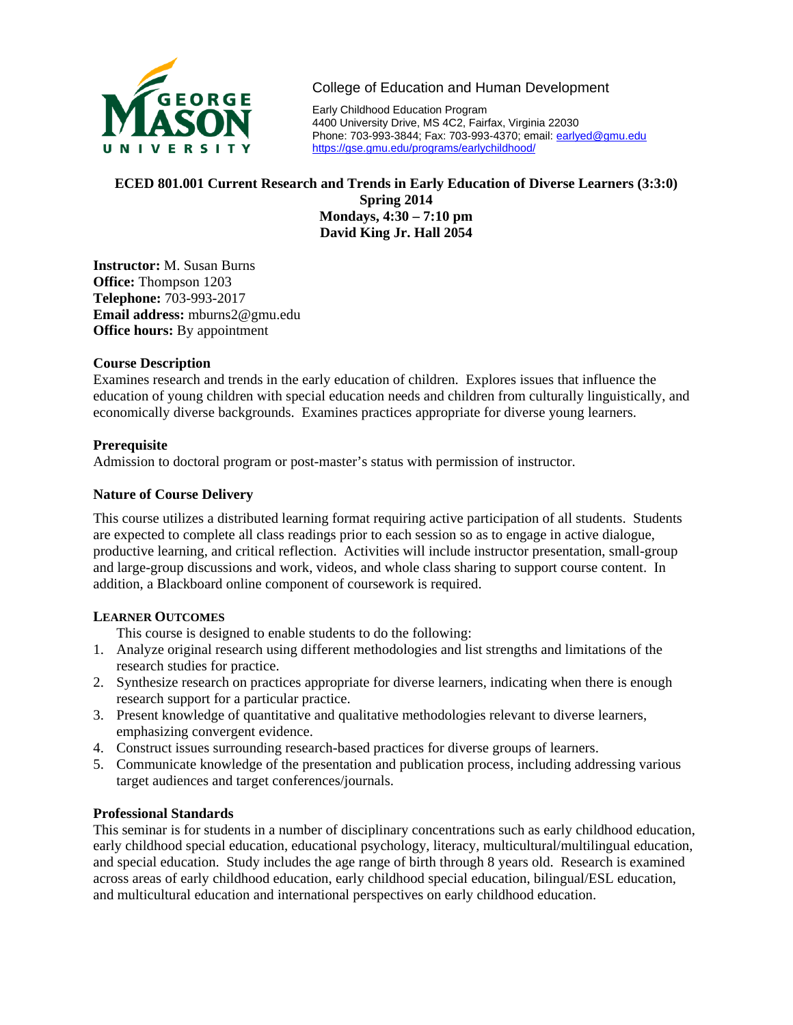

College of Education and Human Development

Early Childhood Education Program 4400 University Drive, MS 4C2, Fairfax, Virginia 22030 Phone: 703-993-3844; Fax: 703-993-4370; email: earlyed@gmu.edu https://gse.gmu.edu/programs/earlychildhood/

# **ECED 801.001 Current Research and Trends in Early Education of Diverse Learners (3:3:0) Spring 2014 Mondays, 4:30 – 7:10 pm David King Jr. Hall 2054**

**Instructor:** M. Susan Burns **Office:** Thompson 1203 **Telephone:** 703-993-2017 **Email address:** mburns2@gmu.edu **Office hours:** By appointment

## **Course Description**

Examines research and trends in the early education of children. Explores issues that influence the education of young children with special education needs and children from culturally linguistically, and economically diverse backgrounds. Examines practices appropriate for diverse young learners.

# **Prerequisite**

Admission to doctoral program or post-master's status with permission of instructor.

# **Nature of Course Delivery**

This course utilizes a distributed learning format requiring active participation of all students. Students are expected to complete all class readings prior to each session so as to engage in active dialogue, productive learning, and critical reflection. Activities will include instructor presentation, small-group and large-group discussions and work, videos, and whole class sharing to support course content. In addition, a Blackboard online component of coursework is required.

## **LEARNER OUTCOMES**

This course is designed to enable students to do the following:

- 1. Analyze original research using different methodologies and list strengths and limitations of the research studies for practice.
- 2. Synthesize research on practices appropriate for diverse learners, indicating when there is enough research support for a particular practice.
- 3. Present knowledge of quantitative and qualitative methodologies relevant to diverse learners, emphasizing convergent evidence.
- 4. Construct issues surrounding research-based practices for diverse groups of learners.
- 5. Communicate knowledge of the presentation and publication process, including addressing various target audiences and target conferences/journals.

## **Professional Standards**

This seminar is for students in a number of disciplinary concentrations such as early childhood education, early childhood special education, educational psychology, literacy, multicultural/multilingual education, and special education. Study includes the age range of birth through 8 years old. Research is examined across areas of early childhood education, early childhood special education, bilingual/ESL education, and multicultural education and international perspectives on early childhood education.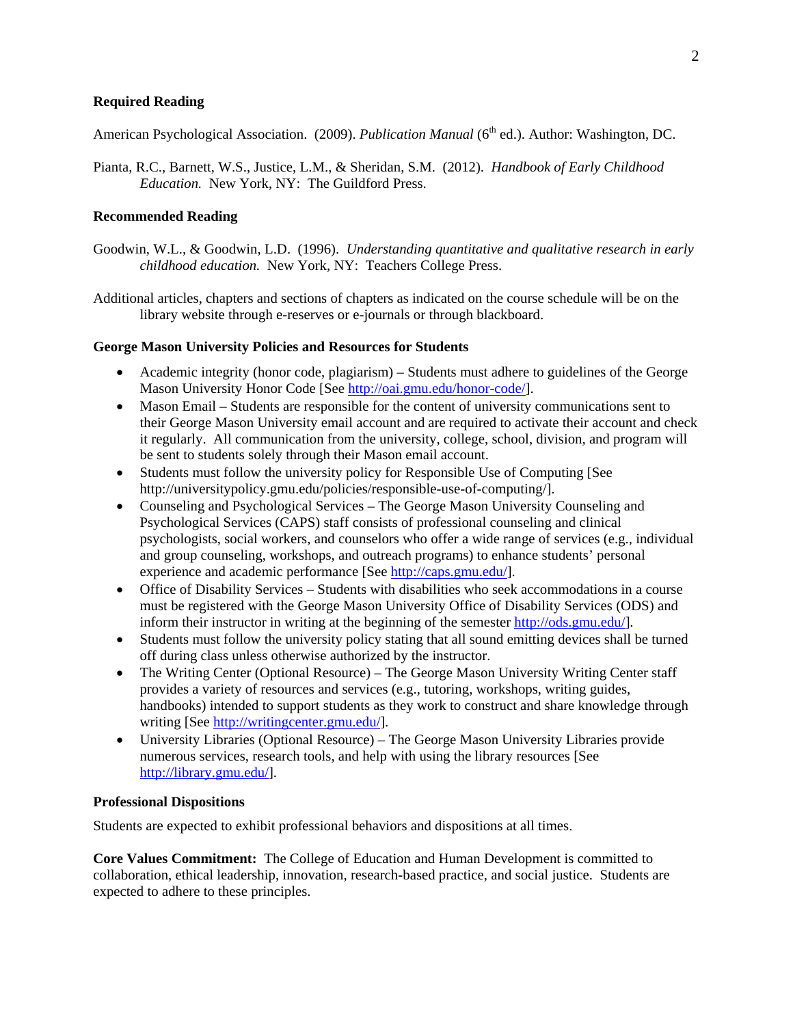### **Required Reading**

American Psychological Association. (2009). *Publication Manual* (6<sup>th</sup> ed.). Author: Washington, DC.

Pianta, R.C., Barnett, W.S., Justice, L.M., & Sheridan, S.M. (2012). *Handbook of Early Childhood Education.* New York, NY: The Guildford Press.

### **Recommended Reading**

- Goodwin, W.L., & Goodwin, L.D. (1996). *Understanding quantitative and qualitative research in early childhood education.* New York, NY: Teachers College Press.
- Additional articles, chapters and sections of chapters as indicated on the course schedule will be on the library website through e-reserves or e-journals or through blackboard.

#### **George Mason University Policies and Resources for Students**

- Academic integrity (honor code, plagiarism) Students must adhere to guidelines of the George Mason University Honor Code [See http://oai.gmu.edu/honor-code/].
- Mason Email Students are responsible for the content of university communications sent to their George Mason University email account and are required to activate their account and check it regularly. All communication from the university, college, school, division, and program will be sent to students solely through their Mason email account.
- Students must follow the university policy for Responsible Use of Computing [See http://universitypolicy.gmu.edu/policies/responsible-use-of-computing/].
- Counseling and Psychological Services The George Mason University Counseling and Psychological Services (CAPS) staff consists of professional counseling and clinical psychologists, social workers, and counselors who offer a wide range of services (e.g., individual and group counseling, workshops, and outreach programs) to enhance students' personal experience and academic performance [See http://caps.gmu.edu/].
- Office of Disability Services Students with disabilities who seek accommodations in a course must be registered with the George Mason University Office of Disability Services (ODS) and inform their instructor in writing at the beginning of the semester http://ods.gmu.edu/].
- Students must follow the university policy stating that all sound emitting devices shall be turned off during class unless otherwise authorized by the instructor.
- The Writing Center (Optional Resource) The George Mason University Writing Center staff provides a variety of resources and services (e.g., tutoring, workshops, writing guides, handbooks) intended to support students as they work to construct and share knowledge through writing [See http://writingcenter.gmu.edu/].
- University Libraries (Optional Resource) The George Mason University Libraries provide numerous services, research tools, and help with using the library resources [See http://library.gmu.edu/].

### **Professional Dispositions**

Students are expected to exhibit professional behaviors and dispositions at all times.

**Core Values Commitment:** The College of Education and Human Development is committed to collaboration, ethical leadership, innovation, research-based practice, and social justice. Students are expected to adhere to these principles.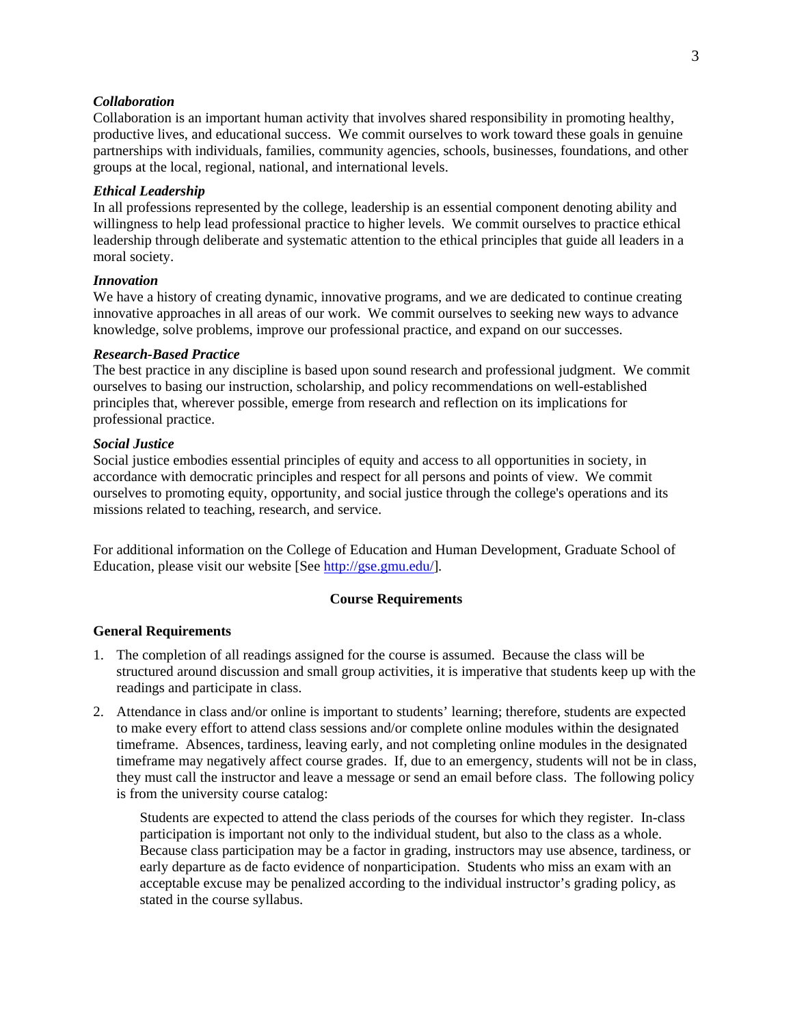#### *Collaboration*

Collaboration is an important human activity that involves shared responsibility in promoting healthy, productive lives, and educational success. We commit ourselves to work toward these goals in genuine partnerships with individuals, families, community agencies, schools, businesses, foundations, and other groups at the local, regional, national, and international levels.

#### *Ethical Leadership*

In all professions represented by the college, leadership is an essential component denoting ability and willingness to help lead professional practice to higher levels. We commit ourselves to practice ethical leadership through deliberate and systematic attention to the ethical principles that guide all leaders in a moral society.

#### *Innovation*

We have a history of creating dynamic, innovative programs, and we are dedicated to continue creating innovative approaches in all areas of our work. We commit ourselves to seeking new ways to advance knowledge, solve problems, improve our professional practice, and expand on our successes.

#### *Research-Based Practice*

The best practice in any discipline is based upon sound research and professional judgment. We commit ourselves to basing our instruction, scholarship, and policy recommendations on well-established principles that, wherever possible, emerge from research and reflection on its implications for professional practice.

### *Social Justice*

Social justice embodies essential principles of equity and access to all opportunities in society, in accordance with democratic principles and respect for all persons and points of view. We commit ourselves to promoting equity, opportunity, and social justice through the college's operations and its missions related to teaching, research, and service.

For additional information on the College of Education and Human Development, Graduate School of Education, please visit our website [See http://gse.gmu.edu/].

#### **Course Requirements**

#### **General Requirements**

- 1. The completion of all readings assigned for the course is assumed. Because the class will be structured around discussion and small group activities, it is imperative that students keep up with the readings and participate in class.
- 2. Attendance in class and/or online is important to students' learning; therefore, students are expected to make every effort to attend class sessions and/or complete online modules within the designated timeframe. Absences, tardiness, leaving early, and not completing online modules in the designated timeframe may negatively affect course grades. If, due to an emergency, students will not be in class, they must call the instructor and leave a message or send an email before class. The following policy is from the university course catalog:

Students are expected to attend the class periods of the courses for which they register. In-class participation is important not only to the individual student, but also to the class as a whole. Because class participation may be a factor in grading, instructors may use absence, tardiness, or early departure as de facto evidence of nonparticipation. Students who miss an exam with an acceptable excuse may be penalized according to the individual instructor's grading policy, as stated in the course syllabus.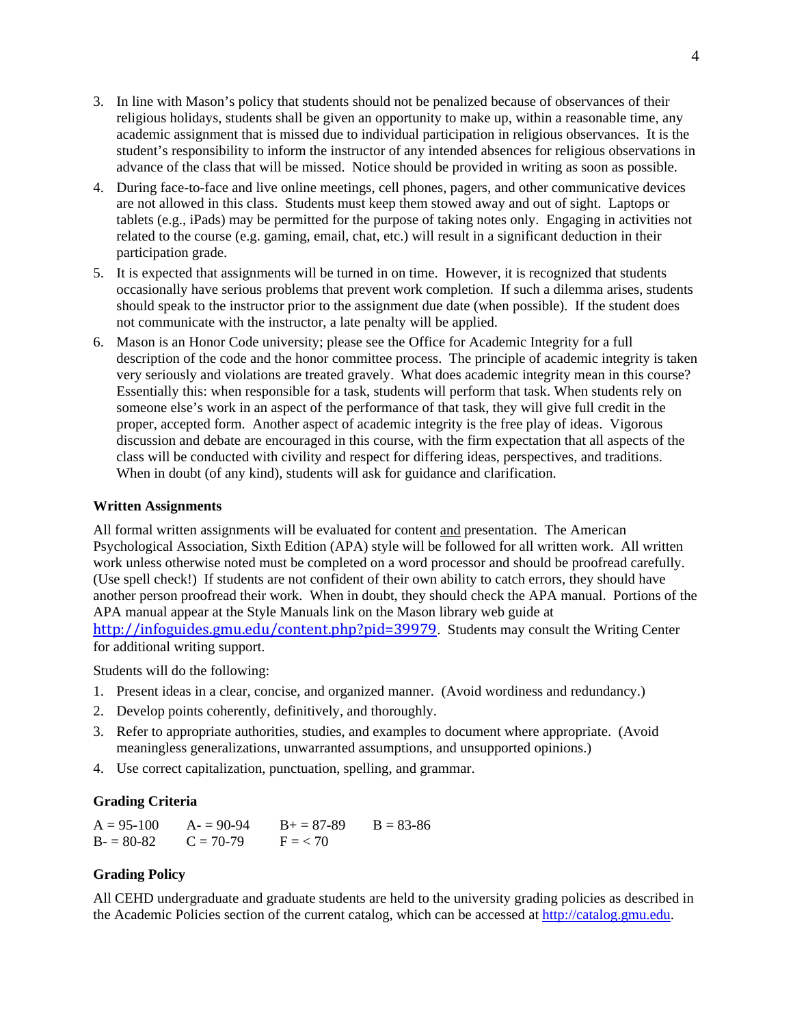- 3. In line with Mason's policy that students should not be penalized because of observances of their religious holidays, students shall be given an opportunity to make up, within a reasonable time, any academic assignment that is missed due to individual participation in religious observances. It is the student's responsibility to inform the instructor of any intended absences for religious observations in advance of the class that will be missed. Notice should be provided in writing as soon as possible.
- 4. During face-to-face and live online meetings, cell phones, pagers, and other communicative devices are not allowed in this class. Students must keep them stowed away and out of sight. Laptops or tablets (e.g., iPads) may be permitted for the purpose of taking notes only. Engaging in activities not related to the course (e.g. gaming, email, chat, etc.) will result in a significant deduction in their participation grade.
- 5. It is expected that assignments will be turned in on time. However, it is recognized that students occasionally have serious problems that prevent work completion. If such a dilemma arises, students should speak to the instructor prior to the assignment due date (when possible). If the student does not communicate with the instructor, a late penalty will be applied.
- 6. Mason is an Honor Code university; please see the Office for Academic Integrity for a full description of the code and the honor committee process. The principle of academic integrity is taken very seriously and violations are treated gravely. What does academic integrity mean in this course? Essentially this: when responsible for a task, students will perform that task. When students rely on someone else's work in an aspect of the performance of that task, they will give full credit in the proper, accepted form. Another aspect of academic integrity is the free play of ideas. Vigorous discussion and debate are encouraged in this course, with the firm expectation that all aspects of the class will be conducted with civility and respect for differing ideas, perspectives, and traditions. When in doubt (of any kind), students will ask for guidance and clarification.

### **Written Assignments**

All formal written assignments will be evaluated for content and presentation. The American Psychological Association, Sixth Edition (APA) style will be followed for all written work. All written work unless otherwise noted must be completed on a word processor and should be proofread carefully. (Use spell check!) If students are not confident of their own ability to catch errors, they should have another person proofread their work. When in doubt, they should check the APA manual. Portions of the APA manual appear at the Style Manuals link on the Mason library web guide at http://infoguides.gmu.edu/content.php?pid=39979. Students may consult the Writing Center

for additional writing support.

Students will do the following:

- 1. Present ideas in a clear, concise, and organized manner. (Avoid wordiness and redundancy.)
- 2. Develop points coherently, definitively, and thoroughly.
- 3. Refer to appropriate authorities, studies, and examples to document where appropriate. (Avoid meaningless generalizations, unwarranted assumptions, and unsupported opinions.)
- 4. Use correct capitalization, punctuation, spelling, and grammar.

## **Grading Criteria**

 $A = 95-100$   $A = 90-94$   $B = 87-89$   $B = 83-86$  $B = 80-82$   $C = 70-79$   $F = 70$ 

### **Grading Policy**

All CEHD undergraduate and graduate students are held to the university grading policies as described in the Academic Policies section of the current catalog, which can be accessed at http://catalog.gmu.edu.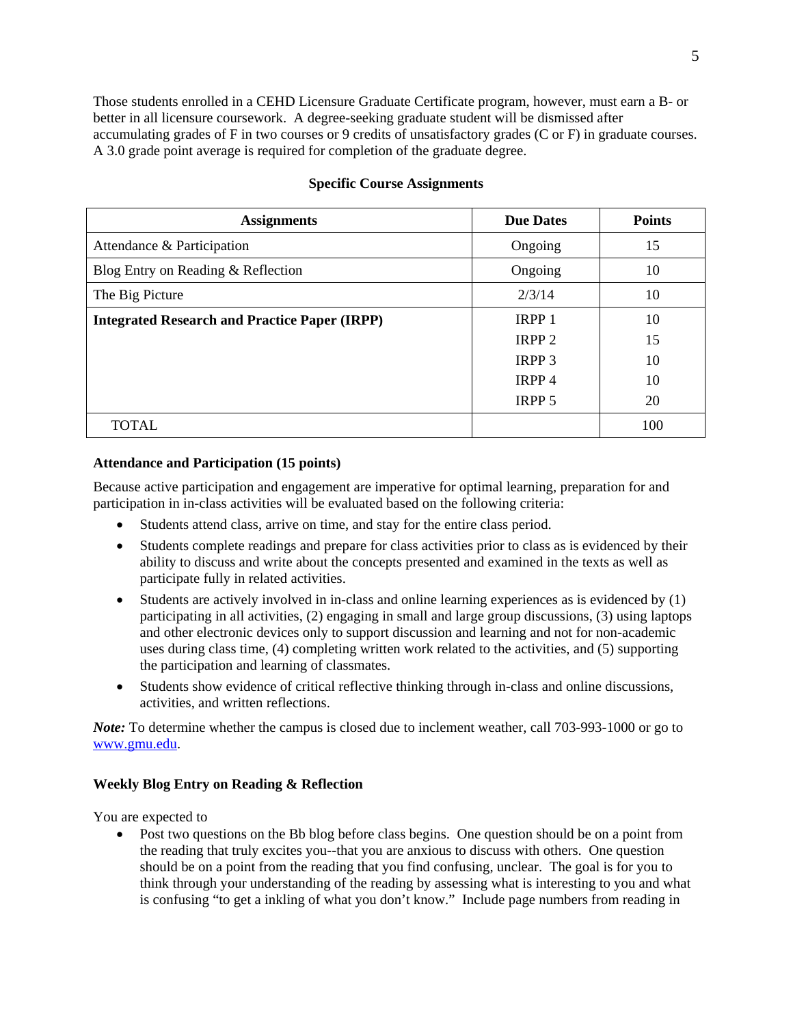Those students enrolled in a CEHD Licensure Graduate Certificate program, however, must earn a B- or better in all licensure coursework. A degree-seeking graduate student will be dismissed after accumulating grades of F in two courses or 9 credits of unsatisfactory grades (C or F) in graduate courses. A 3.0 grade point average is required for completion of the graduate degree.

| <b>Assignments</b>                                   | <b>Due Dates</b>  | <b>Points</b> |
|------------------------------------------------------|-------------------|---------------|
| Attendance & Participation                           | Ongoing           | 15            |
| Blog Entry on Reading & Reflection                   | Ongoing           | 10            |
| The Big Picture                                      | 2/3/14            | 10            |
| <b>Integrated Research and Practice Paper (IRPP)</b> | IRPP 1            | 10            |
|                                                      | IRPP <sub>2</sub> | 15            |
|                                                      | <b>IRPP 3</b>     | 10            |
|                                                      | IRPP <sub>4</sub> | 10            |
|                                                      | IRPP 5            | 20            |
| <b>TOTAL</b>                                         |                   | 100           |

## **Specific Course Assignments**

### **Attendance and Participation (15 points)**

Because active participation and engagement are imperative for optimal learning, preparation for and participation in in-class activities will be evaluated based on the following criteria:

- Students attend class, arrive on time, and stay for the entire class period.
- Students complete readings and prepare for class activities prior to class as is evidenced by their ability to discuss and write about the concepts presented and examined in the texts as well as participate fully in related activities.
- Students are actively involved in in-class and online learning experiences as is evidenced by (1) participating in all activities, (2) engaging in small and large group discussions, (3) using laptops and other electronic devices only to support discussion and learning and not for non-academic uses during class time, (4) completing written work related to the activities, and (5) supporting the participation and learning of classmates.
- Students show evidence of critical reflective thinking through in-class and online discussions, activities, and written reflections.

*Note:* To determine whether the campus is closed due to inclement weather, call 703-993-1000 or go to www.gmu.edu.

## **Weekly Blog Entry on Reading & Reflection**

You are expected to

• Post two questions on the Bb blog before class begins. One question should be on a point from the reading that truly excites you--that you are anxious to discuss with others. One question should be on a point from the reading that you find confusing, unclear. The goal is for you to think through your understanding of the reading by assessing what is interesting to you and what is confusing "to get a inkling of what you don't know." Include page numbers from reading in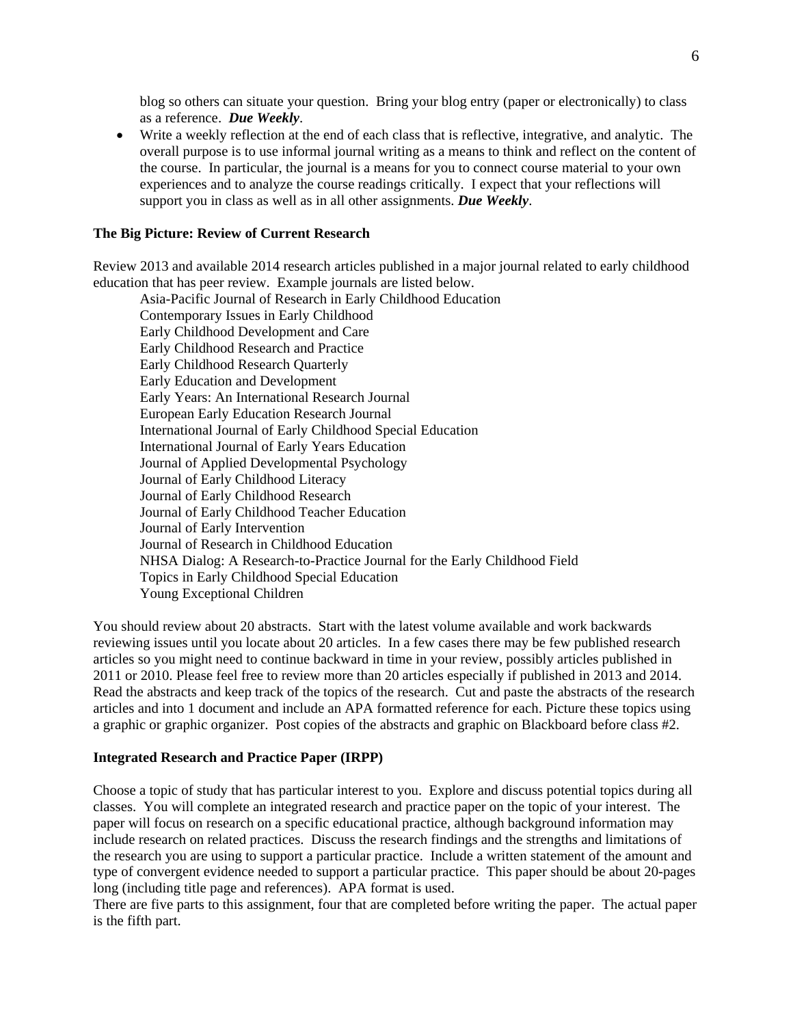blog so others can situate your question. Bring your blog entry (paper or electronically) to class as a reference. *Due Weekly*.

 Write a weekly reflection at the end of each class that is reflective, integrative, and analytic. The overall purpose is to use informal journal writing as a means to think and reflect on the content of the course. In particular, the journal is a means for you to connect course material to your own experiences and to analyze the course readings critically. I expect that your reflections will support you in class as well as in all other assignments. *Due Weekly*.

## **The Big Picture: Review of Current Research**

Review 2013 and available 2014 research articles published in a major journal related to early childhood education that has peer review. Example journals are listed below.

Asia-Pacific Journal of Research in Early Childhood Education Contemporary Issues in Early Childhood Early Childhood Development and Care Early Childhood Research and Practice Early Childhood Research Quarterly Early Education and Development Early Years: An International Research Journal European Early Education Research Journal International Journal of Early Childhood Special Education International Journal of Early Years Education Journal of Applied Developmental Psychology Journal of Early Childhood Literacy Journal of Early Childhood Research Journal of Early Childhood Teacher Education Journal of Early Intervention Journal of Research in Childhood Education NHSA Dialog: A Research-to-Practice Journal for the Early Childhood Field Topics in Early Childhood Special Education Young Exceptional Children

You should review about 20 abstracts. Start with the latest volume available and work backwards reviewing issues until you locate about 20 articles. In a few cases there may be few published research articles so you might need to continue backward in time in your review, possibly articles published in 2011 or 2010. Please feel free to review more than 20 articles especially if published in 2013 and 2014. Read the abstracts and keep track of the topics of the research. Cut and paste the abstracts of the research articles and into 1 document and include an APA formatted reference for each. Picture these topics using a graphic or graphic organizer. Post copies of the abstracts and graphic on Blackboard before class #2.

#### **Integrated Research and Practice Paper (IRPP)**

Choose a topic of study that has particular interest to you. Explore and discuss potential topics during all classes. You will complete an integrated research and practice paper on the topic of your interest. The paper will focus on research on a specific educational practice, although background information may include research on related practices. Discuss the research findings and the strengths and limitations of the research you are using to support a particular practice. Include a written statement of the amount and type of convergent evidence needed to support a particular practice. This paper should be about 20-pages long (including title page and references). APA format is used.

There are five parts to this assignment, four that are completed before writing the paper. The actual paper is the fifth part.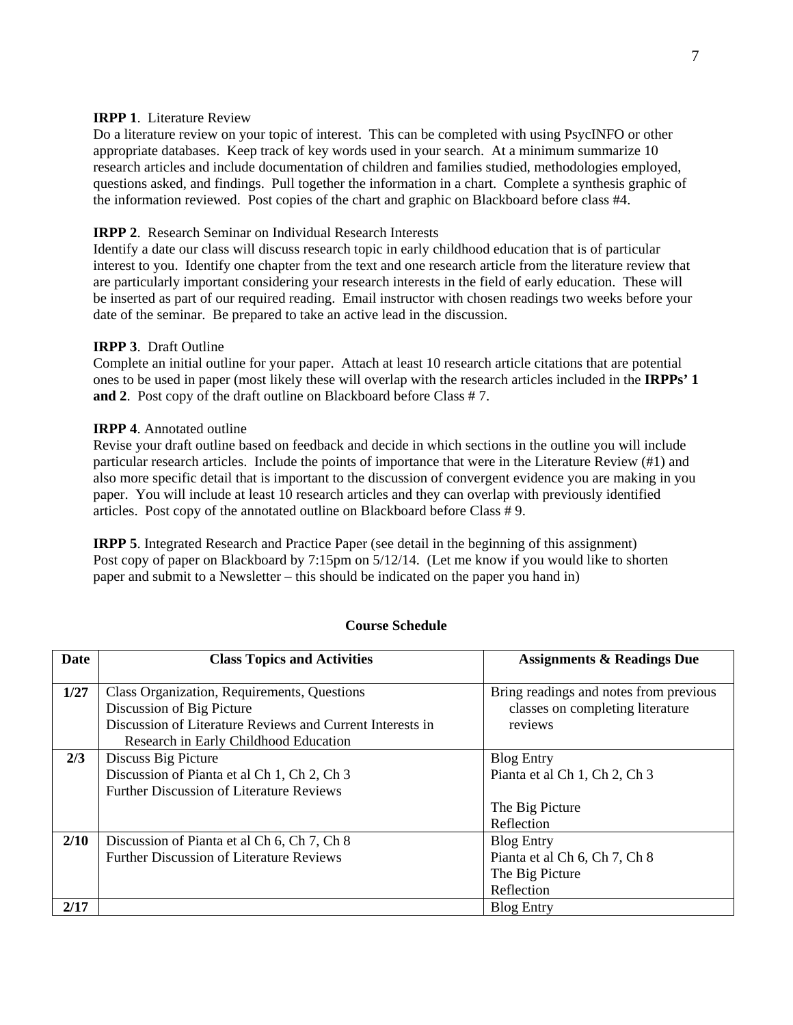### **IRPP 1**. Literature Review

Do a literature review on your topic of interest. This can be completed with using PsycINFO or other appropriate databases. Keep track of key words used in your search. At a minimum summarize 10 research articles and include documentation of children and families studied, methodologies employed, questions asked, and findings. Pull together the information in a chart. Complete a synthesis graphic of the information reviewed. Post copies of the chart and graphic on Blackboard before class #4.

## **IRPP 2**. Research Seminar on Individual Research Interests

Identify a date our class will discuss research topic in early childhood education that is of particular interest to you. Identify one chapter from the text and one research article from the literature review that are particularly important considering your research interests in the field of early education. These will be inserted as part of our required reading. Email instructor with chosen readings two weeks before your date of the seminar. Be prepared to take an active lead in the discussion.

## **IRPP 3**. Draft Outline

Complete an initial outline for your paper. Attach at least 10 research article citations that are potential ones to be used in paper (most likely these will overlap with the research articles included in the **IRPPs' 1 and 2**. Post copy of the draft outline on Blackboard before Class # 7.

## **IRPP 4**. Annotated outline

Revise your draft outline based on feedback and decide in which sections in the outline you will include particular research articles. Include the points of importance that were in the Literature Review (#1) and also more specific detail that is important to the discussion of convergent evidence you are making in you paper. You will include at least 10 research articles and they can overlap with previously identified articles. Post copy of the annotated outline on Blackboard before Class # 9.

**IRPP 5**. Integrated Research and Practice Paper (see detail in the beginning of this assignment) Post copy of paper on Blackboard by 7:15pm on 5/12/14. (Let me know if you would like to shorten paper and submit to a Newsletter – this should be indicated on the paper you hand in)

| <b>Date</b> | <b>Class Topics and Activities</b>                                                                                                                             | <b>Assignments &amp; Readings Due</b>                                                 |
|-------------|----------------------------------------------------------------------------------------------------------------------------------------------------------------|---------------------------------------------------------------------------------------|
| 1/27        | Class Organization, Requirements, Questions<br>Discussion of Big Picture<br>Discussion of Literature Reviews and Current Interests in                          | Bring readings and notes from previous<br>classes on completing literature<br>reviews |
| 2/3         | Research in Early Childhood Education<br>Discuss Big Picture<br>Discussion of Pianta et al Ch 1, Ch 2, Ch 3<br><b>Further Discussion of Literature Reviews</b> | <b>Blog Entry</b><br>Pianta et al Ch 1, Ch 2, Ch 3<br>The Big Picture<br>Reflection   |
| 2/10        | Discussion of Pianta et al Ch 6, Ch 7, Ch 8<br><b>Further Discussion of Literature Reviews</b>                                                                 | <b>Blog Entry</b><br>Pianta et al Ch 6, Ch 7, Ch 8<br>The Big Picture<br>Reflection   |
| 2/17        |                                                                                                                                                                | <b>Blog Entry</b>                                                                     |

### **Course Schedule**